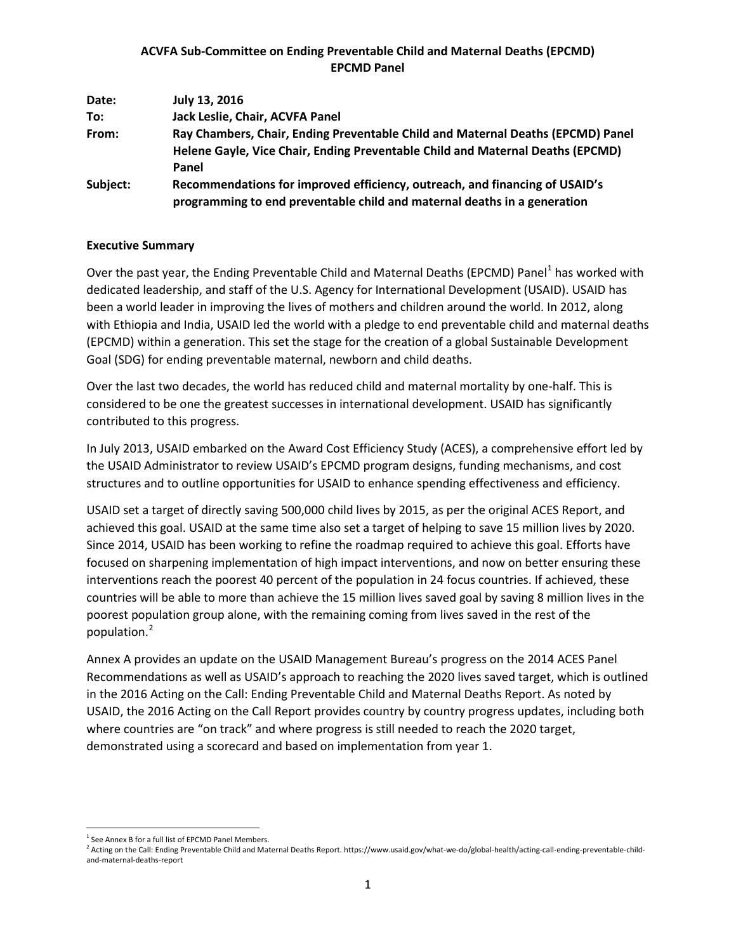| Date:    | July 13, 2016                                                                                                                                                              |
|----------|----------------------------------------------------------------------------------------------------------------------------------------------------------------------------|
| To:      | Jack Leslie, Chair, ACVFA Panel                                                                                                                                            |
| From:    | Ray Chambers, Chair, Ending Preventable Child and Maternal Deaths (EPCMD) Panel<br>Helene Gayle, Vice Chair, Ending Preventable Child and Maternal Deaths (EPCMD)<br>Panel |
| Subject: | Recommendations for improved efficiency, outreach, and financing of USAID's<br>programming to end preventable child and maternal deaths in a generation                    |

#### **Executive Summary**

Over the past year, the Ending Preventable Child and Maternal Deaths (EPCMD) Panel<sup>[1](#page-0-0)</sup> has worked with dedicated leadership, and staff of the U.S. Agency for International Development (USAID). USAID has been a world leader in improving the lives of mothers and children around the world. In 2012, along with Ethiopia and India, USAID led the world with a pledge to end preventable child and maternal deaths (EPCMD) within a generation. This set the stage for the creation of a global Sustainable Development Goal (SDG) for ending preventable maternal, newborn and child deaths.

Over the last two decades, the world has reduced child and maternal mortality by one-half. This is considered to be one the greatest successes in international development. USAID has significantly contributed to this progress.

In July 2013, USAID embarked on the Award Cost Efficiency Study (ACES), a comprehensive effort led by the USAID Administrator to review USAID's EPCMD program designs, funding mechanisms, and cost structures and to outline opportunities for USAID to enhance spending effectiveness and efficiency.

USAID set a target of directly saving 500,000 child lives by 2015, as per the original ACES Report, and achieved this goal. USAID at the same time also set a target of helping to save 15 million lives by 2020. Since 2014, USAID has been working to refine the roadmap required to achieve this goal. Efforts have focused on sharpening implementation of high impact interventions, and now on better ensuring these interventions reach the poorest 40 percent of the population in 24 focus countries. If achieved, these countries will be able to more than achieve the 15 million lives saved goal by saving 8 million lives in the poorest population group alone, with the remaining coming from lives saved in the rest of the population.[2](#page-0-1)

Annex A provides an update on the USAID Management Bureau's progress on the 2014 ACES Panel Recommendations as well as USAID's approach to reaching the 2020 lives saved target, which is outlined in the 2016 Acting on the Call: Ending Preventable Child and Maternal Deaths Report. As noted by USAID, the 2016 Acting on the Call Report provides country by country progress updates, including both where countries are "on track" and where progress is still needed to reach the 2020 target, demonstrated using a scorecard and based on implementation from year 1.

<span id="page-0-1"></span><span id="page-0-0"></span><sup>&</sup>lt;sup>1</sup> See Annex B for a full list of EPCMD Panel Members.<br><sup>2</sup> Acting on the Call: Ending Preventable Child and Maternal Deaths Report. https://www.usaid.gov/what-we-do/global-health/acting-call-ending-preventable-childand-maternal-deaths-report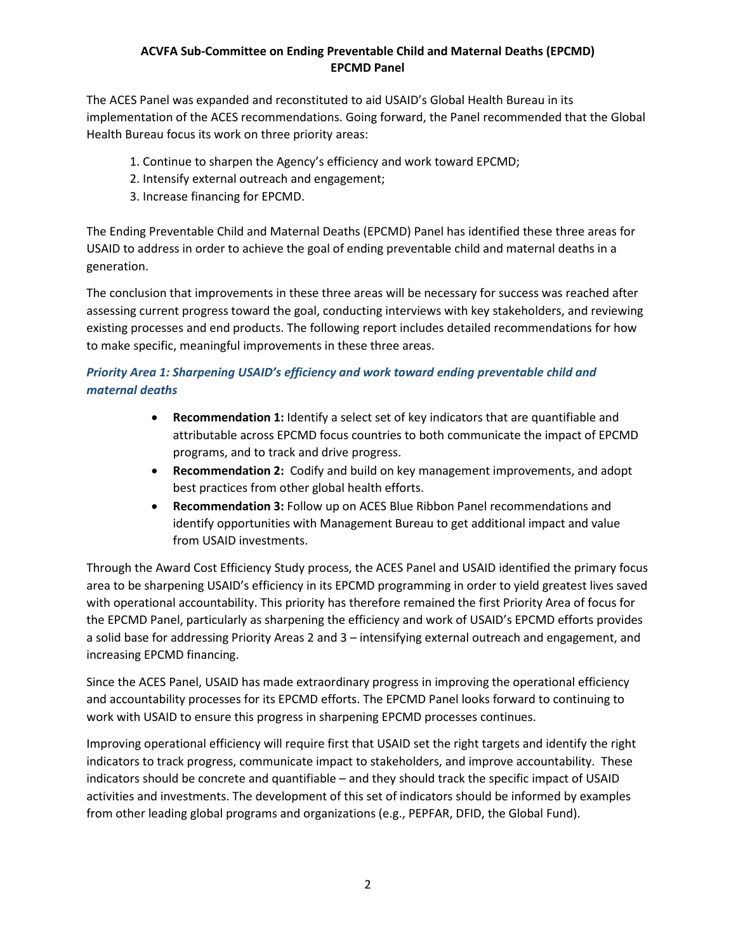The ACES Panel was expanded and reconstituted to aid USAID's Global Health Bureau in its implementation of the ACES recommendations. Going forward, the Panel recommended that the Global Health Bureau focus its work on three priority areas:

- 1. Continue to sharpen the Agency's efficiency and work toward EPCMD;
- 2. Intensify external outreach and engagement;
- 3. Increase financing for EPCMD.

The Ending Preventable Child and Maternal Deaths (EPCMD) Panel has identified these three areas for USAID to address in order to achieve the goal of ending preventable child and maternal deaths in a generation.

The conclusion that improvements in these three areas will be necessary for success was reached after assessing current progress toward the goal, conducting interviews with key stakeholders, and reviewing existing processes and end products. The following report includes detailed recommendations for how to make specific, meaningful improvements in these three areas.

# *Priority Area 1: Sharpening USAID's efficiency and work toward ending preventable child and maternal deaths*

- **Recommendation 1:** Identify a select set of key indicators that are quantifiable and attributable across EPCMD focus countries to both communicate the impact of EPCMD programs, and to track and drive progress.
- **Recommendation 2:** Codify and build on key management improvements, and adopt best practices from other global health efforts.
- **Recommendation 3:** Follow up on ACES Blue Ribbon Panel recommendations and identify opportunities with Management Bureau to get additional impact and value from USAID investments.

Through the Award Cost Efficiency Study process, the ACES Panel and USAID identified the primary focus area to be sharpening USAID's efficiency in its EPCMD programming in order to yield greatest lives saved with operational accountability. This priority has therefore remained the first Priority Area of focus for the EPCMD Panel, particularly as sharpening the efficiency and work of USAID's EPCMD efforts provides a solid base for addressing Priority Areas 2 and 3 – intensifying external outreach and engagement, and increasing EPCMD financing.

Since the ACES Panel, USAID has made extraordinary progress in improving the operational efficiency and accountability processes for its EPCMD efforts. The EPCMD Panel looks forward to continuing to work with USAID to ensure this progress in sharpening EPCMD processes continues.

Improving operational efficiency will require first that USAID set the right targets and identify the right indicators to track progress, communicate impact to stakeholders, and improve accountability. These indicators should be concrete and quantifiable – and they should track the specific impact of USAID activities and investments. The development of this set of indicators should be informed by examples from other leading global programs and organizations (e.g., PEPFAR, DFID, the Global Fund).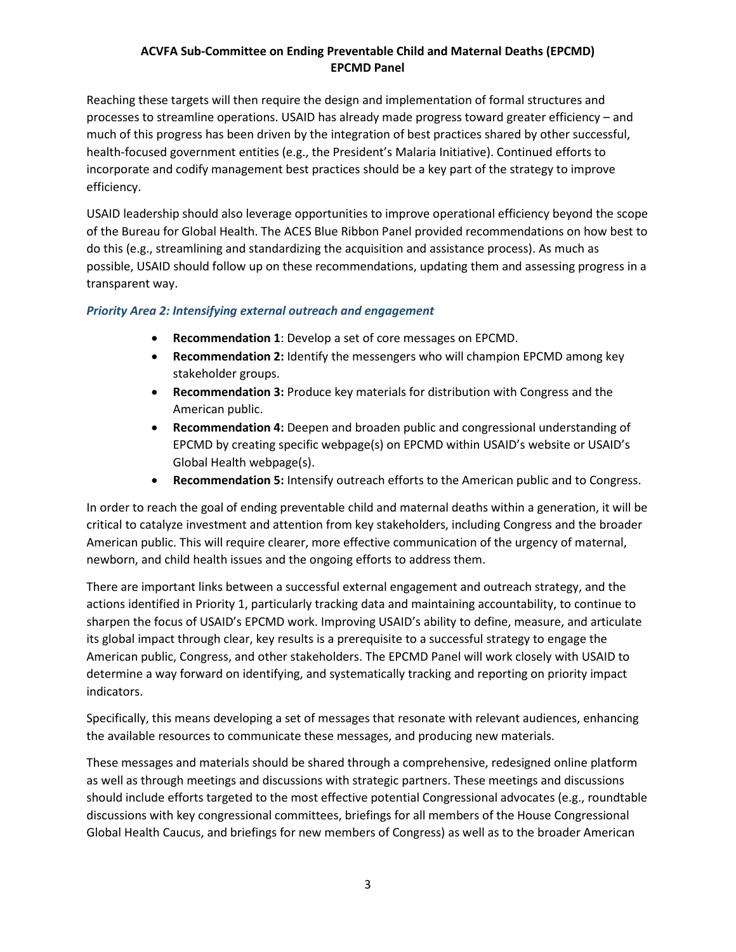Reaching these targets will then require the design and implementation of formal structures and processes to streamline operations. USAID has already made progress toward greater efficiency – and much of this progress has been driven by the integration of best practices shared by other successful, health-focused government entities (e.g., the President's Malaria Initiative). Continued efforts to incorporate and codify management best practices should be a key part of the strategy to improve efficiency.

USAID leadership should also leverage opportunities to improve operational efficiency beyond the scope of the Bureau for Global Health. The ACES Blue Ribbon Panel provided recommendations on how best to do this (e.g., streamlining and standardizing the acquisition and assistance process). As much as possible, USAID should follow up on these recommendations, updating them and assessing progress in a transparent way.

#### *Priority Area 2: Intensifying external outreach and engagement*

- **Recommendation 1**: Develop a set of core messages on EPCMD.
- **Recommendation 2:** Identify the messengers who will champion EPCMD among key stakeholder groups.
- **Recommendation 3:** Produce key materials for distribution with Congress and the American public.
- **Recommendation 4:** Deepen and broaden public and congressional understanding of EPCMD by creating specific webpage(s) on EPCMD within USAID's website or USAID's Global Health webpage(s).
- **Recommendation 5:** Intensify outreach efforts to the American public and to Congress.

In order to reach the goal of ending preventable child and maternal deaths within a generation, it will be critical to catalyze investment and attention from key stakeholders, including Congress and the broader American public. This will require clearer, more effective communication of the urgency of maternal, newborn, and child health issues and the ongoing efforts to address them.

There are important links between a successful external engagement and outreach strategy, and the actions identified in Priority 1, particularly tracking data and maintaining accountability, to continue to sharpen the focus of USAID's EPCMD work. Improving USAID's ability to define, measure, and articulate its global impact through clear, key results is a prerequisite to a successful strategy to engage the American public, Congress, and other stakeholders. The EPCMD Panel will work closely with USAID to determine a way forward on identifying, and systematically tracking and reporting on priority impact indicators.

Specifically, this means developing a set of messages that resonate with relevant audiences, enhancing the available resources to communicate these messages, and producing new materials.

These messages and materials should be shared through a comprehensive, redesigned online platform as well as through meetings and discussions with strategic partners. These meetings and discussions should include efforts targeted to the most effective potential Congressional advocates (e.g., roundtable discussions with key congressional committees, briefings for all members of the House Congressional Global Health Caucus, and briefings for new members of Congress) as well as to the broader American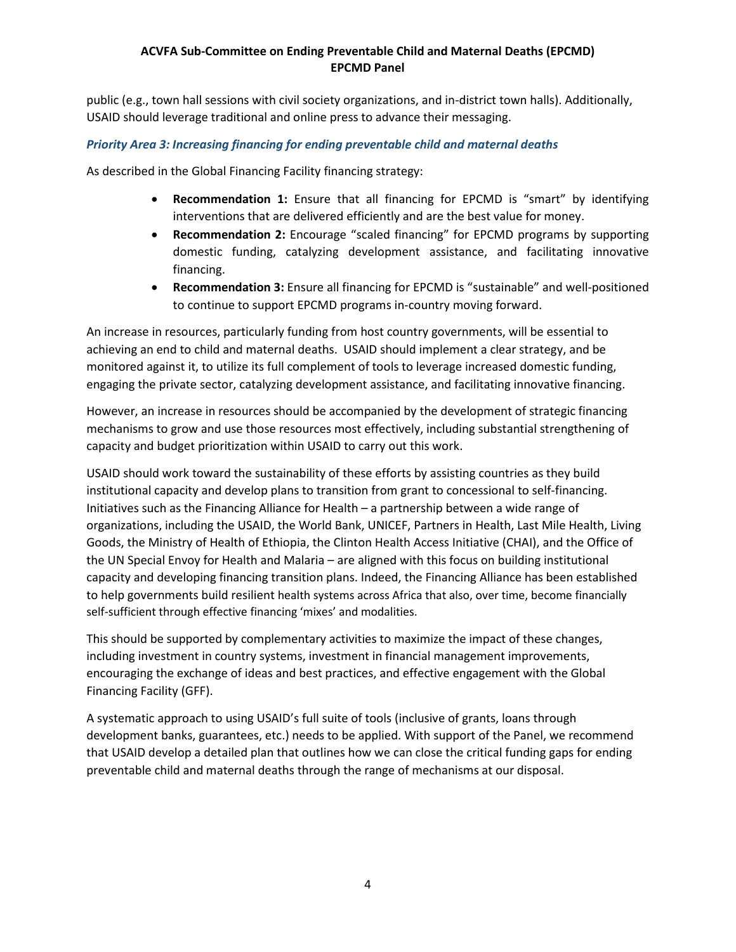public (e.g., town hall sessions with civil society organizations, and in-district town halls). Additionally, USAID should leverage traditional and online press to advance their messaging.

#### *Priority Area 3: Increasing financing for ending preventable child and maternal deaths*

As described in the Global Financing Facility financing strategy:

- **Recommendation 1:** Ensure that all financing for EPCMD is "smart" by identifying interventions that are delivered efficiently and are the best value for money.
- **Recommendation 2:** Encourage "scaled financing" for EPCMD programs by supporting domestic funding, catalyzing development assistance, and facilitating innovative financing.
- **Recommendation 3:** Ensure all financing for EPCMD is "sustainable" and well-positioned to continue to support EPCMD programs in-country moving forward.

An increase in resources, particularly funding from host country governments, will be essential to achieving an end to child and maternal deaths. USAID should implement a clear strategy, and be monitored against it, to utilize its full complement of tools to leverage increased domestic funding, engaging the private sector, catalyzing development assistance, and facilitating innovative financing.

However, an increase in resources should be accompanied by the development of strategic financing mechanisms to grow and use those resources most effectively, including substantial strengthening of capacity and budget prioritization within USAID to carry out this work.

USAID should work toward the sustainability of these efforts by assisting countries as they build institutional capacity and develop plans to transition from grant to concessional to self-financing. Initiatives such as the Financing Alliance for Health – a partnership between a wide range of organizations, including the USAID, the World Bank, UNICEF, Partners in Health, Last Mile Health, Living Goods, the Ministry of Health of Ethiopia, the Clinton Health Access Initiative (CHAI), and the Office of the UN Special Envoy for Health and Malaria – are aligned with this focus on building institutional capacity and developing financing transition plans. Indeed, the Financing Alliance has been established to help governments build resilient health systems across Africa that also, over time, become financially self-sufficient through effective financing 'mixes' and modalities.

This should be supported by complementary activities to maximize the impact of these changes, including investment in country systems, investment in financial management improvements, encouraging the exchange of ideas and best practices, and effective engagement with the Global Financing Facility (GFF).

A systematic approach to using USAID's full suite of tools (inclusive of grants, loans through development banks, guarantees, etc.) needs to be applied. With support of the Panel, we recommend that USAID develop a detailed plan that outlines how we can close the critical funding gaps for ending preventable child and maternal deaths through the range of mechanisms at our disposal.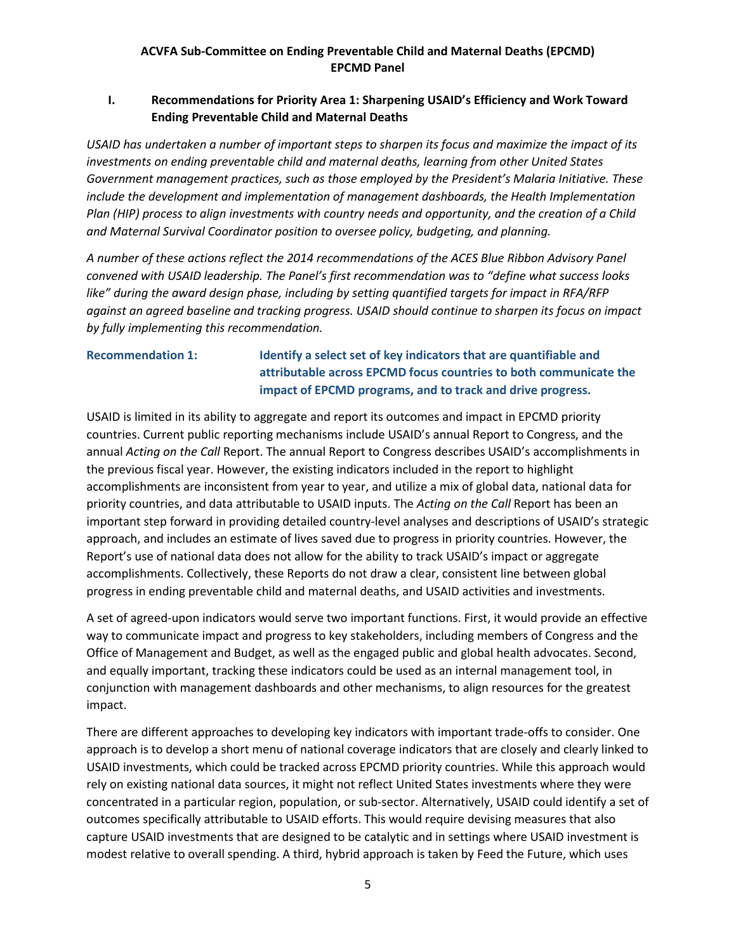#### **I. Recommendations for Priority Area 1: Sharpening USAID's Efficiency and Work Toward Ending Preventable Child and Maternal Deaths**

*USAID has undertaken a number of important steps to sharpen its focus and maximize the impact of its investments on ending preventable child and maternal deaths, learning from other United States Government management practices, such as those employed by the President's Malaria Initiative. These include the development and implementation of management dashboards, the Health Implementation Plan (HIP) process to align investments with country needs and opportunity, and the creation of a Child and Maternal Survival Coordinator position to oversee policy, budgeting, and planning.*

*A number of these actions reflect the 2014 recommendations of the ACES Blue Ribbon Advisory Panel convened with USAID leadership. The Panel's first recommendation was to "define what success looks like" during the award design phase, including by setting quantified targets for impact in RFA/RFP against an agreed baseline and tracking progress. USAID should continue to sharpen its focus on impact by fully implementing this recommendation.* 

## **Recommendation 1: Identify a select set of key indicators that are quantifiable and attributable across EPCMD focus countries to both communicate the impact of EPCMD programs, and to track and drive progress.**

USAID is limited in its ability to aggregate and report its outcomes and impact in EPCMD priority countries. Current public reporting mechanisms include USAID's annual Report to Congress, and the annual *Acting on the Call* Report. The annual Report to Congress describes USAID's accomplishments in the previous fiscal year. However, the existing indicators included in the report to highlight accomplishments are inconsistent from year to year, and utilize a mix of global data, national data for priority countries, and data attributable to USAID inputs. The *Acting on the Call* Report has been an important step forward in providing detailed country-level analyses and descriptions of USAID's strategic approach, and includes an estimate of lives saved due to progress in priority countries. However, the Report's use of national data does not allow for the ability to track USAID's impact or aggregate accomplishments. Collectively, these Reports do not draw a clear, consistent line between global progress in ending preventable child and maternal deaths, and USAID activities and investments.

A set of agreed-upon indicators would serve two important functions. First, it would provide an effective way to communicate impact and progress to key stakeholders, including members of Congress and the Office of Management and Budget, as well as the engaged public and global health advocates. Second, and equally important, tracking these indicators could be used as an internal management tool, in conjunction with management dashboards and other mechanisms, to align resources for the greatest impact.

There are different approaches to developing key indicators with important trade-offs to consider. One approach is to develop a short menu of national coverage indicators that are closely and clearly linked to USAID investments, which could be tracked across EPCMD priority countries. While this approach would rely on existing national data sources, it might not reflect United States investments where they were concentrated in a particular region, population, or sub-sector. Alternatively, USAID could identify a set of outcomes specifically attributable to USAID efforts. This would require devising measures that also capture USAID investments that are designed to be catalytic and in settings where USAID investment is modest relative to overall spending. A third, hybrid approach is taken by Feed the Future, which uses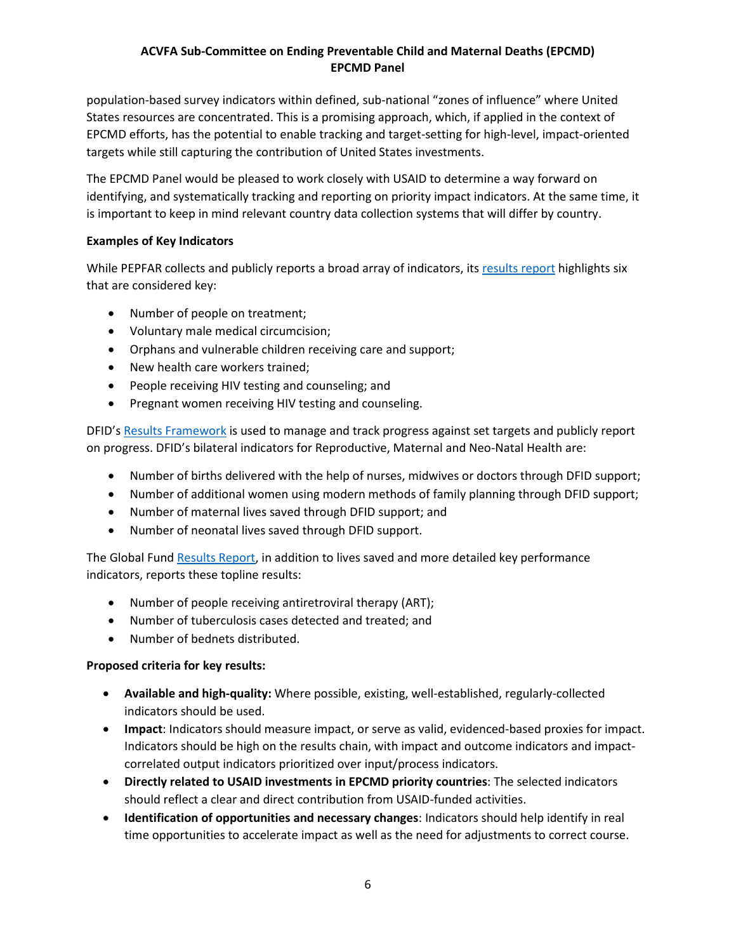population-based survey indicators within defined, sub-national "zones of influence" where United States resources are concentrated. This is a promising approach, which, if applied in the context of EPCMD efforts, has the potential to enable tracking and target-setting for high-level, impact-oriented targets while still capturing the contribution of United States investments.

The EPCMD Panel would be pleased to work closely with USAID to determine a way forward on identifying, and systematically tracking and reporting on priority impact indicators. At the same time, it is important to keep in mind relevant country data collection systems that will differ by country.

#### **Examples of Key Indicators**

While PEPFAR collects and publicly reports a broad array of indicators, its [results report](http://www.pepfar.gov/funding/results/254970.htm) highlights six that are considered key:

- Number of people on treatment;
- Voluntary male medical circumcision;
- Orphans and vulnerable children receiving care and support;
- New health care workers trained;
- People receiving HIV testing and counseling; and
- Pregnant women receiving HIV testing and counseling.

DFID's [Results Framework](https://www.gov.uk/government/uploads/system/uploads/attachment_data/file/360906/DFID-external-results-Sep_2014.pdf) is used to manage and track progress against set targets and publicly report on progress. DFID's bilateral indicators for Reproductive, Maternal and Neo-Natal Health are:

- Number of births delivered with the help of nurses, midwives or doctors through DFID support;
- Number of additional women using modern methods of family planning through DFID support;
- Number of maternal lives saved through DFID support; and
- Number of neonatal lives saved through DFID support.

The Global Fund [Results Report,](http://www.theglobalfund.org/documents/publications/annual_reports/Corporate_2015ResultsReport_Report_en/) in addition to lives saved and more detailed key performance indicators, reports these topline results:

- Number of people receiving antiretroviral therapy (ART);
- Number of tuberculosis cases detected and treated; and
- Number of bednets distributed.

#### **Proposed criteria for key results:**

- **Available and high-quality:** Where possible, existing, well-established, regularly-collected indicators should be used.
- **Impact**: Indicators should measure impact, or serve as valid, evidenced-based proxies for impact. Indicators should be high on the results chain, with impact and outcome indicators and impactcorrelated output indicators prioritized over input/process indicators.
- **Directly related to USAID investments in EPCMD priority countries**: The selected indicators should reflect a clear and direct contribution from USAID-funded activities.
- **Identification of opportunities and necessary changes**: Indicators should help identify in real time opportunities to accelerate impact as well as the need for adjustments to correct course.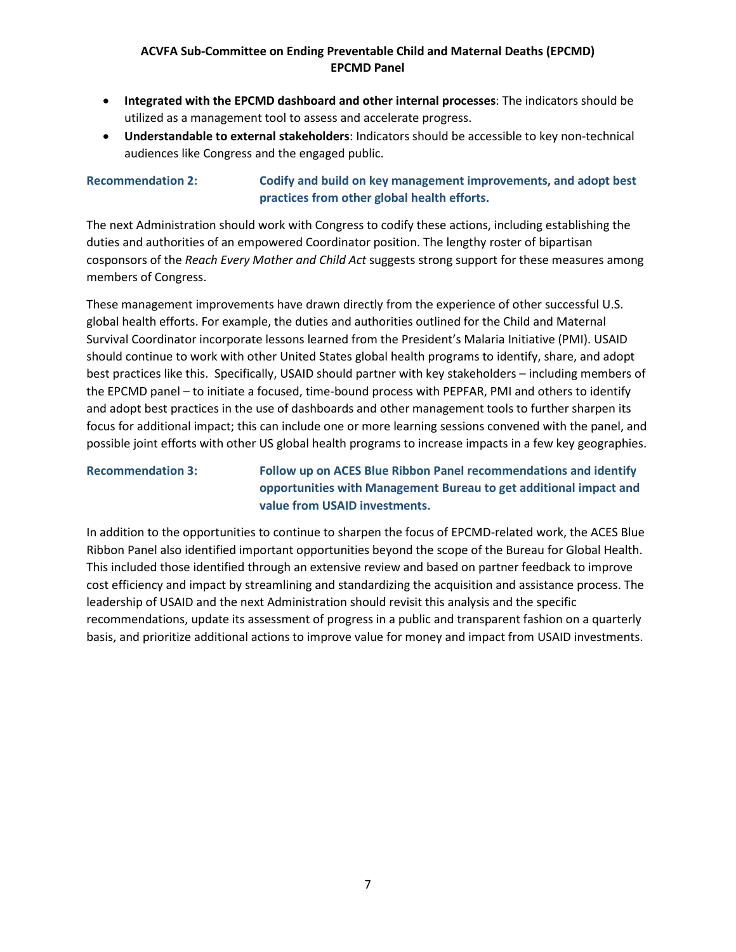- **Integrated with the EPCMD dashboard and other internal processes**: The indicators should be utilized as a management tool to assess and accelerate progress.
- **Understandable to external stakeholders**: Indicators should be accessible to key non-technical audiences like Congress and the engaged public.

# **Recommendation 2: Codify and build on key management improvements, and adopt best practices from other global health efforts.**

The next Administration should work with Congress to codify these actions, including establishing the duties and authorities of an empowered Coordinator position. The lengthy roster of bipartisan cosponsors of the *Reach Every Mother and Child Act* suggests strong support for these measures among members of Congress.

These management improvements have drawn directly from the experience of other successful U.S. global health efforts. For example, the duties and authorities outlined for the Child and Maternal Survival Coordinator incorporate lessons learned from the President's Malaria Initiative (PMI). USAID should continue to work with other United States global health programs to identify, share, and adopt best practices like this. Specifically, USAID should partner with key stakeholders – including members of the EPCMD panel – to initiate a focused, time-bound process with PEPFAR, PMI and others to identify and adopt best practices in the use of dashboards and other management tools to further sharpen its focus for additional impact; this can include one or more learning sessions convened with the panel, and possible joint efforts with other US global health programs to increase impacts in a few key geographies.

# **Recommendation 3: Follow up on ACES Blue Ribbon Panel recommendations and identify opportunities with Management Bureau to get additional impact and value from USAID investments.**

In addition to the opportunities to continue to sharpen the focus of EPCMD-related work, the ACES Blue Ribbon Panel also identified important opportunities beyond the scope of the Bureau for Global Health. This included those identified through an extensive review and based on partner feedback to improve cost efficiency and impact by streamlining and standardizing the acquisition and assistance process. The leadership of USAID and the next Administration should revisit this analysis and the specific recommendations, update its assessment of progress in a public and transparent fashion on a quarterly basis, and prioritize additional actions to improve value for money and impact from USAID investments.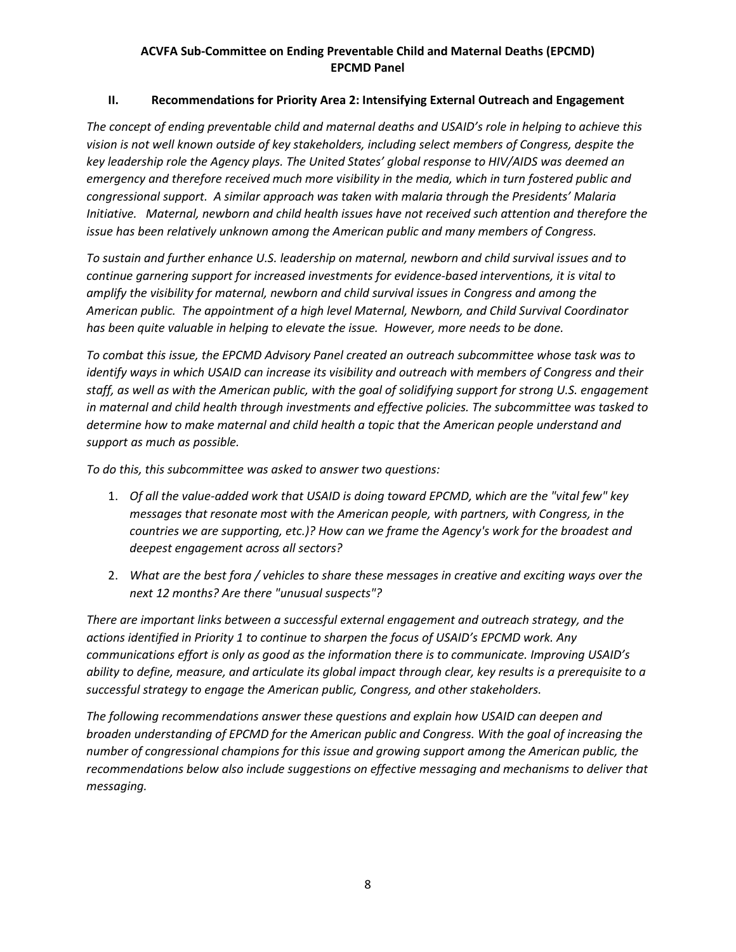#### **II. Recommendations for Priority Area 2: Intensifying External Outreach and Engagement**

*The concept of ending preventable child and maternal deaths and USAID's role in helping to achieve this vision is not well known outside of key stakeholders, including select members of Congress, despite the key leadership role the Agency plays. The United States' global response to HIV/AIDS was deemed an emergency and therefore received much more visibility in the media, which in turn fostered public and congressional support. A similar approach was taken with malaria through the Presidents' Malaria Initiative. Maternal, newborn and child health issues have not received such attention and therefore the issue has been relatively unknown among the American public and many members of Congress.* 

*To sustain and further enhance U.S. leadership on maternal, newborn and child survival issues and to continue garnering support for increased investments for evidence-based interventions, it is vital to amplify the visibility for maternal, newborn and child survival issues in Congress and among the American public. The appointment of a high level Maternal, Newborn, and Child Survival Coordinator has been quite valuable in helping to elevate the issue. However, more needs to be done.* 

*To combat this issue, the EPCMD Advisory Panel created an outreach subcommittee whose task was to identify ways in which USAID can increase its visibility and outreach with members of Congress and their staff, as well as with the American public, with the goal of solidifying support for strong U.S. engagement in maternal and child health through investments and effective policies. The subcommittee was tasked to determine how to make maternal and child health a topic that the American people understand and support as much as possible.*

*To do this, this subcommittee was asked to answer two questions:*

- 1. *Of all the value-added work that USAID is doing toward EPCMD, which are the "vital few" key messages that resonate most with the American people, with partners, with Congress, in the countries we are supporting, etc.)? How can we frame the Agency's work for the broadest and deepest engagement across all sectors?*
- 2. *What are the best fora / vehicles to share these messages in creative and exciting ways over the next 12 months? Are there "unusual suspects"?*

*There are important links between a successful external engagement and outreach strategy, and the actions identified in Priority 1 to continue to sharpen the focus of USAID's EPCMD work. Any communications effort is only as good as the information there is to communicate. Improving USAID's ability to define, measure, and articulate its global impact through clear, key results is a prerequisite to a successful strategy to engage the American public, Congress, and other stakeholders.*

*The following recommendations answer these questions and explain how USAID can deepen and broaden understanding of EPCMD for the American public and Congress. With the goal of increasing the number of congressional champions for this issue and growing support among the American public, the recommendations below also include suggestions on effective messaging and mechanisms to deliver that messaging.*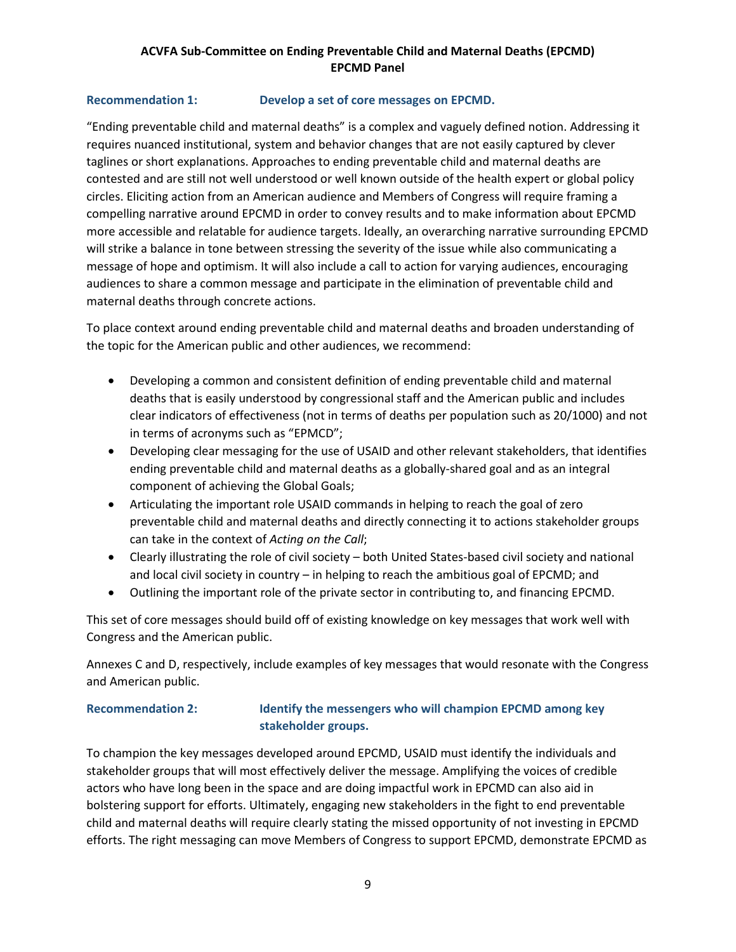#### **Recommendation 1: Develop a set of core messages on EPCMD.**

"Ending preventable child and maternal deaths" is a complex and vaguely defined notion. Addressing it requires nuanced institutional, system and behavior changes that are not easily captured by clever taglines or short explanations. Approaches to ending preventable child and maternal deaths are contested and are still not well understood or well known outside of the health expert or global policy circles. Eliciting action from an American audience and Members of Congress will require framing a compelling narrative around EPCMD in order to convey results and to make information about EPCMD more accessible and relatable for audience targets. Ideally, an overarching narrative surrounding EPCMD will strike a balance in tone between stressing the severity of the issue while also communicating a message of hope and optimism. It will also include a call to action for varying audiences, encouraging audiences to share a common message and participate in the elimination of preventable child and maternal deaths through concrete actions.

To place context around ending preventable child and maternal deaths and broaden understanding of the topic for the American public and other audiences, we recommend:

- Developing a common and consistent definition of ending preventable child and maternal deaths that is easily understood by congressional staff and the American public and includes clear indicators of effectiveness (not in terms of deaths per population such as 20/1000) and not in terms of acronyms such as "EPMCD";
- Developing clear messaging for the use of USAID and other relevant stakeholders, that identifies ending preventable child and maternal deaths as a globally-shared goal and as an integral component of achieving the Global Goals;
- Articulating the important role USAID commands in helping to reach the goal of zero preventable child and maternal deaths and directly connecting it to actions stakeholder groups can take in the context of *Acting on the Call*;
- Clearly illustrating the role of civil society both United States-based civil society and national and local civil society in country – in helping to reach the ambitious goal of EPCMD; and
- Outlining the important role of the private sector in contributing to, and financing EPCMD.

This set of core messages should build off of existing knowledge on key messages that work well with Congress and the American public.

Annexes C and D, respectively, include examples of key messages that would resonate with the Congress and American public.

#### **Recommendation 2: Identify the messengers who will champion EPCMD among key stakeholder groups.**

To champion the key messages developed around EPCMD, USAID must identify the individuals and stakeholder groups that will most effectively deliver the message. Amplifying the voices of credible actors who have long been in the space and are doing impactful work in EPCMD can also aid in bolstering support for efforts. Ultimately, engaging new stakeholders in the fight to end preventable child and maternal deaths will require clearly stating the missed opportunity of not investing in EPCMD efforts. The right messaging can move Members of Congress to support EPCMD, demonstrate EPCMD as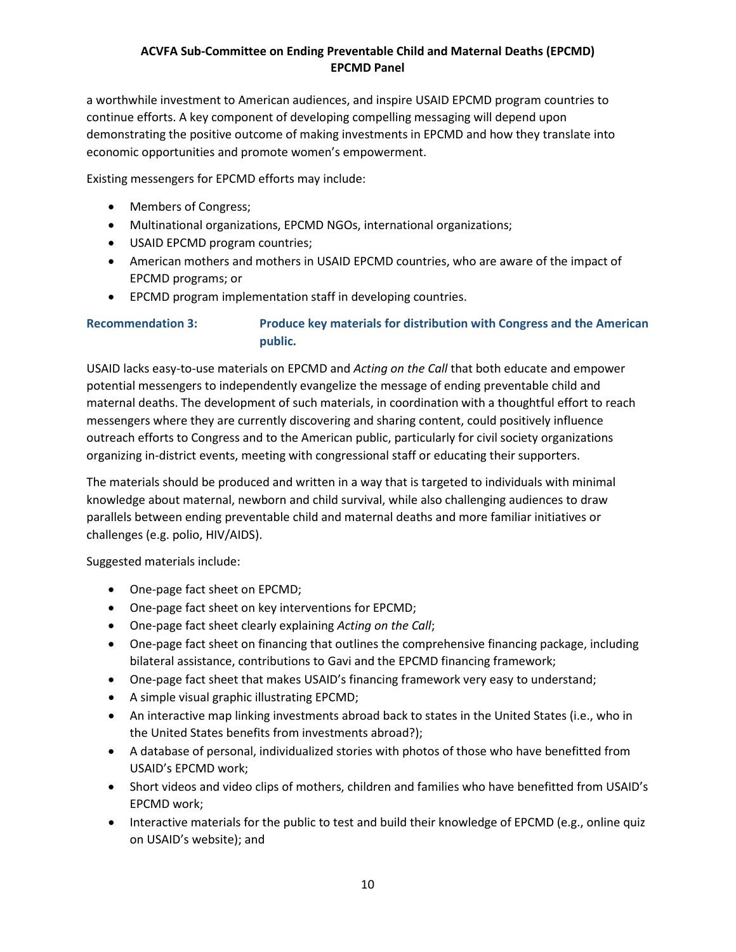a worthwhile investment to American audiences, and inspire USAID EPCMD program countries to continue efforts. A key component of developing compelling messaging will depend upon demonstrating the positive outcome of making investments in EPCMD and how they translate into economic opportunities and promote women's empowerment.

Existing messengers for EPCMD efforts may include:

- Members of Congress;
- Multinational organizations, EPCMD NGOs, international organizations;
- USAID EPCMD program countries;
- American mothers and mothers in USAID EPCMD countries, who are aware of the impact of EPCMD programs; or
- EPCMD program implementation staff in developing countries.

# **Recommendation 3: Produce key materials for distribution with Congress and the American public.**

USAID lacks easy-to-use materials on EPCMD and *Acting on the Call* that both educate and empower potential messengers to independently evangelize the message of ending preventable child and maternal deaths. The development of such materials, in coordination with a thoughtful effort to reach messengers where they are currently discovering and sharing content, could positively influence outreach efforts to Congress and to the American public, particularly for civil society organizations organizing in-district events, meeting with congressional staff or educating their supporters.

The materials should be produced and written in a way that is targeted to individuals with minimal knowledge about maternal, newborn and child survival, while also challenging audiences to draw parallels between ending preventable child and maternal deaths and more familiar initiatives or challenges (e.g. polio, HIV/AIDS).

Suggested materials include:

- One-page fact sheet on EPCMD;
- One-page fact sheet on key interventions for EPCMD;
- One-page fact sheet clearly explaining *Acting on the Call*;
- One-page fact sheet on financing that outlines the comprehensive financing package, including bilateral assistance, contributions to Gavi and the EPCMD financing framework;
- One-page fact sheet that makes USAID's financing framework very easy to understand;
- A simple visual graphic illustrating EPCMD;
- An interactive map linking investments abroad back to states in the United States (i.e., who in the United States benefits from investments abroad?);
- A database of personal, individualized stories with photos of those who have benefitted from USAID's EPCMD work;
- Short videos and video clips of mothers, children and families who have benefitted from USAID's EPCMD work;
- Interactive materials for the public to test and build their knowledge of EPCMD (e.g., online quiz on USAID's website); and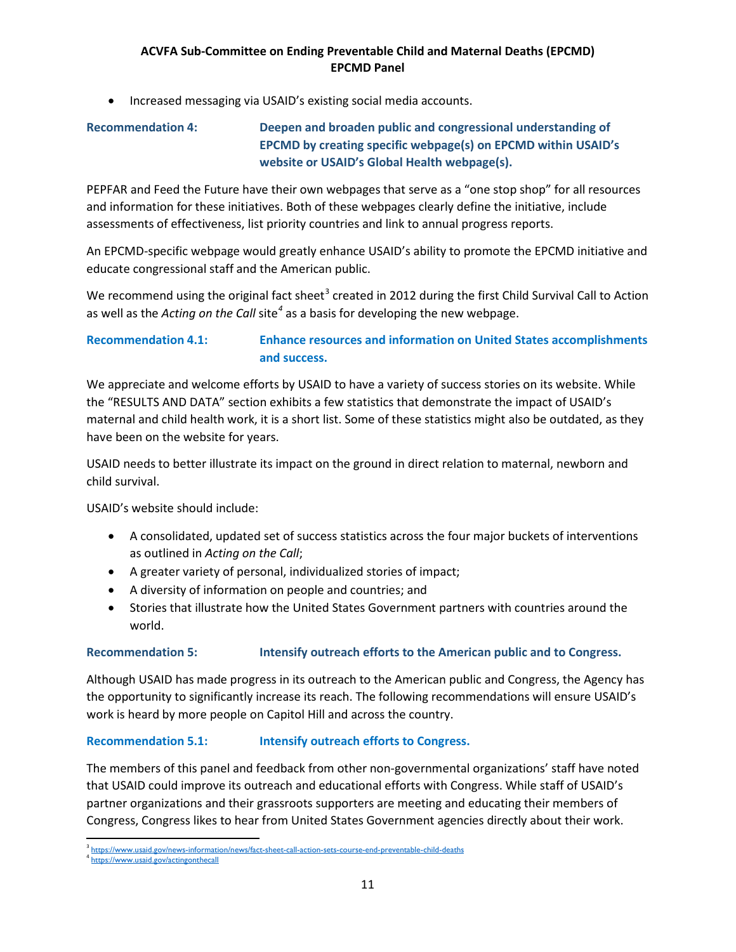• Increased messaging via USAID's existing social media accounts.

# **Recommendation 4: Deepen and broaden public and congressional understanding of EPCMD by creating specific webpage(s) on EPCMD within USAID's website or USAID's Global Health webpage(s).**

PEPFAR and Feed the Future have their own webpages that serve as a "one stop shop" for all resources and information for these initiatives. Both of these webpages clearly define the initiative, include assessments of effectiveness, list priority countries and link to annual progress reports.

An EPCMD-specific webpage would greatly enhance USAID's ability to promote the EPCMD initiative and educate congressional staff and the American public.

We recommend using the original fact sheet<sup>[3](#page-10-0)</sup> created in 2012 during the first Child Survival Call to Action as well as the *Acting on the Call* site*[4](#page-10-1)* as a basis for developing the new webpage.

## **Recommendation 4.1: Enhance resources and information on United States accomplishments and success.**

We appreciate and welcome efforts by USAID to have a variety of success stories on its website. While the "RESULTS AND DATA" section exhibits a few statistics that demonstrate the impact of USAID's maternal and child health work, it is a short list. Some of these statistics might also be outdated, as they have been on the website for years.

USAID needs to better illustrate its impact on the ground in direct relation to maternal, newborn and child survival.

USAID's website should include:

- A consolidated, updated set of success statistics across the four major buckets of interventions as outlined in *Acting on the Call*;
- A greater variety of personal, individualized stories of impact;
- A diversity of information on people and countries; and
- Stories that illustrate how the United States Government partners with countries around the world.

#### **Recommendation 5: Intensify outreach efforts to the American public and to Congress.**

Although USAID has made progress in its outreach to the American public and Congress, the Agency has the opportunity to significantly increase its reach. The following recommendations will ensure USAID's work is heard by more people on Capitol Hill and across the country.

#### **Recommendation 5.1: Intensify outreach efforts to Congress.**

The members of this panel and feedback from other non-governmental organizations' staff have noted that USAID could improve its outreach and educational efforts with Congress. While staff of USAID's partner organizations and their grassroots supporters are meeting and educating their members of Congress, Congress likes to hear from United States Government agencies directly about their work.

<span id="page-10-1"></span><span id="page-10-0"></span><https://www.usaid.gov/news-information/news/fact-sheet-call-action-sets-course-end-preventable-child-deaths> <https://www.usaid.gov/actingonthecall>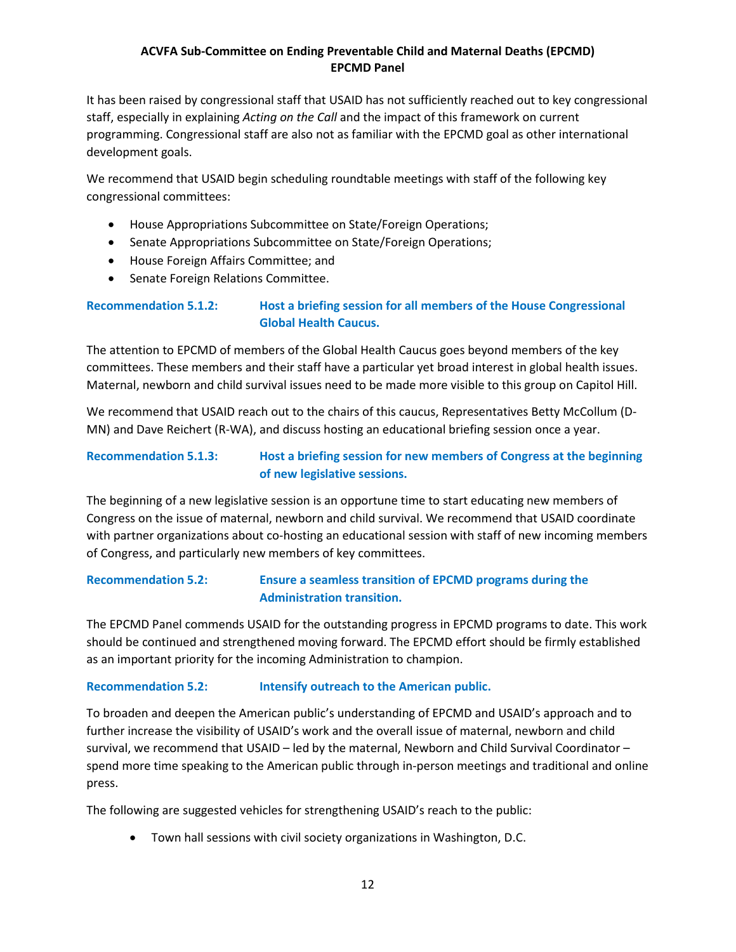It has been raised by congressional staff that USAID has not sufficiently reached out to key congressional staff, especially in explaining *Acting on the Call* and the impact of this framework on current programming. Congressional staff are also not as familiar with the EPCMD goal as other international development goals.

We recommend that USAID begin scheduling roundtable meetings with staff of the following key congressional committees:

- House Appropriations Subcommittee on State/Foreign Operations;
- Senate Appropriations Subcommittee on State/Foreign Operations;
- House Foreign Affairs Committee; and
- Senate Foreign Relations Committee.

## **Recommendation 5.1.2: Host a briefing session for all members of the House Congressional Global Health Caucus.**

The attention to EPCMD of members of the Global Health Caucus goes beyond members of the key committees. These members and their staff have a particular yet broad interest in global health issues. Maternal, newborn and child survival issues need to be made more visible to this group on Capitol Hill.

We recommend that USAID reach out to the chairs of this caucus, Representatives Betty McCollum (D-MN) and Dave Reichert (R-WA), and discuss hosting an educational briefing session once a year.

## **Recommendation 5.1.3: Host a briefing session for new members of Congress at the beginning of new legislative sessions.**

The beginning of a new legislative session is an opportune time to start educating new members of Congress on the issue of maternal, newborn and child survival. We recommend that USAID coordinate with partner organizations about co-hosting an educational session with staff of new incoming members of Congress, and particularly new members of key committees.

# **Recommendation 5.2: Ensure a seamless transition of EPCMD programs during the Administration transition.**

The EPCMD Panel commends USAID for the outstanding progress in EPCMD programs to date. This work should be continued and strengthened moving forward. The EPCMD effort should be firmly established as an important priority for the incoming Administration to champion.

#### **Recommendation 5.2: Intensify outreach to the American public.**

To broaden and deepen the American public's understanding of EPCMD and USAID's approach and to further increase the visibility of USAID's work and the overall issue of maternal, newborn and child survival, we recommend that USAID – led by the maternal, Newborn and Child Survival Coordinator – spend more time speaking to the American public through in-person meetings and traditional and online press.

The following are suggested vehicles for strengthening USAID's reach to the public:

• Town hall sessions with civil society organizations in Washington, D.C.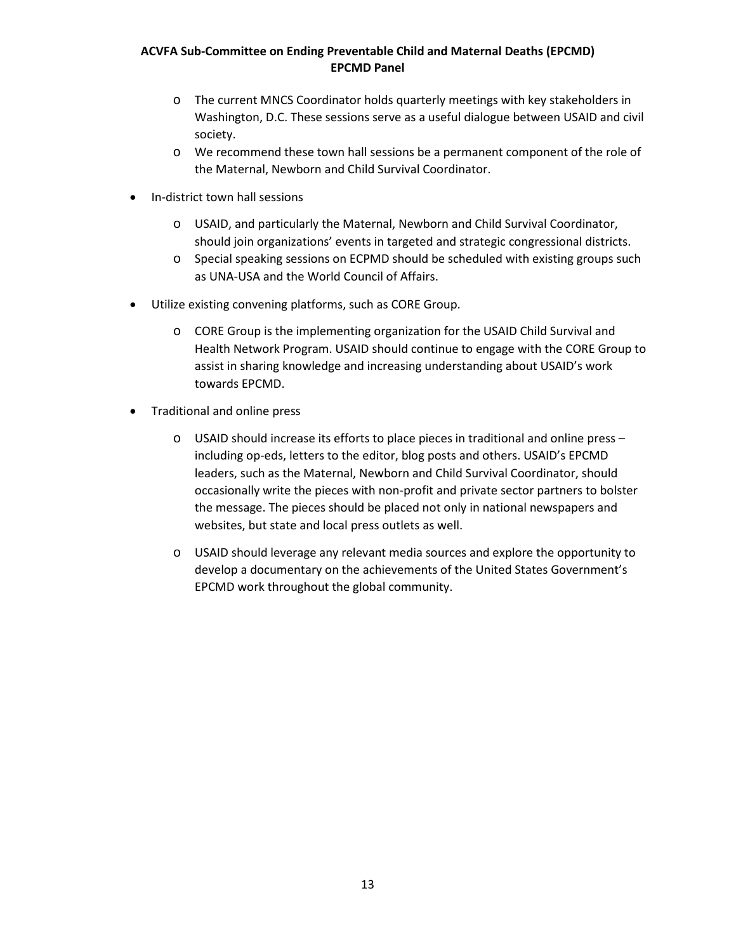- o The current MNCS Coordinator holds quarterly meetings with key stakeholders in Washington, D.C. These sessions serve as a useful dialogue between USAID and civil society.
- o We recommend these town hall sessions be a permanent component of the role of the Maternal, Newborn and Child Survival Coordinator.
- In-district town hall sessions
	- o USAID, and particularly the Maternal, Newborn and Child Survival Coordinator, should join organizations' events in targeted and strategic congressional districts.
	- o Special speaking sessions on ECPMD should be scheduled with existing groups such as UNA-USA and the World Council of Affairs.
- Utilize existing convening platforms, such as CORE Group.
	- o CORE Group is the implementing organization for the USAID Child Survival and Health Network Program. USAID should continue to engage with the CORE Group to assist in sharing knowledge and increasing understanding about USAID's work towards EPCMD.
- Traditional and online press
	- o USAID should increase its efforts to place pieces in traditional and online press including op-eds, letters to the editor, blog posts and others. USAID's EPCMD leaders, such as the Maternal, Newborn and Child Survival Coordinator, should occasionally write the pieces with non-profit and private sector partners to bolster the message. The pieces should be placed not only in national newspapers and websites, but state and local press outlets as well.
	- o USAID should leverage any relevant media sources and explore the opportunity to develop a documentary on the achievements of the United States Government's EPCMD work throughout the global community.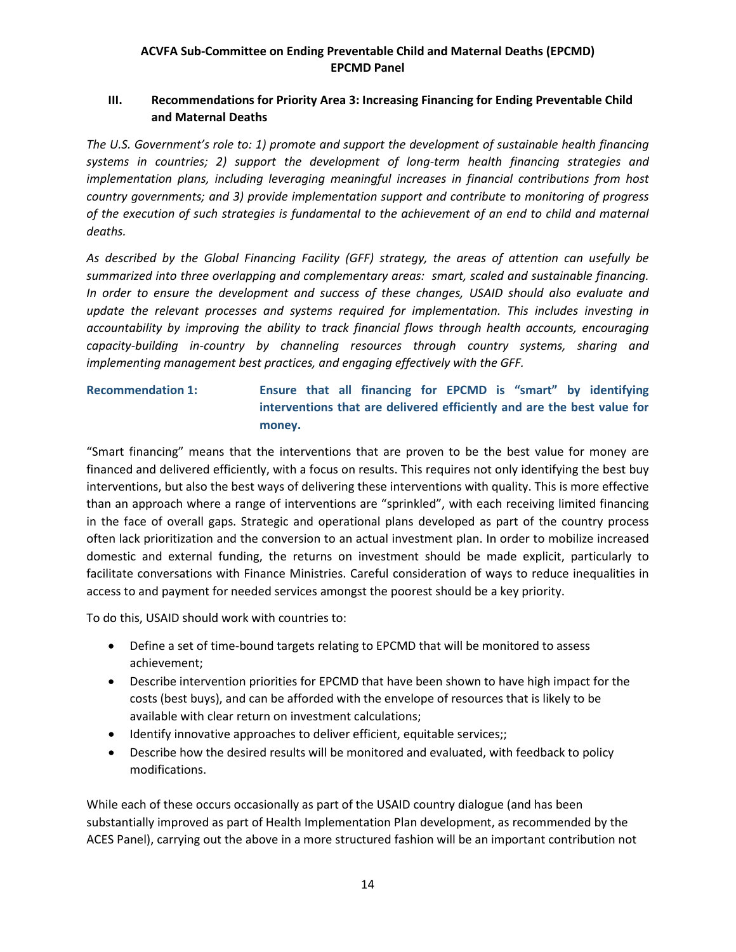## **III. Recommendations for Priority Area 3: Increasing Financing for Ending Preventable Child and Maternal Deaths**

*The U.S. Government's role to: 1) promote and support the development of sustainable health financing systems in countries; 2) support the development of long-term health financing strategies and implementation plans, including leveraging meaningful increases in financial contributions from host country governments; and 3) provide implementation support and contribute to monitoring of progress of the execution of such strategies is fundamental to the achievement of an end to child and maternal deaths.* 

*As described by the Global Financing Facility (GFF) strategy, the areas of attention can usefully be summarized into three overlapping and complementary areas: smart, scaled and sustainable financing. In order to ensure the development and success of these changes, USAID should also evaluate and update the relevant processes and systems required for implementation. This includes investing in accountability by improving the ability to track financial flows through health accounts, encouraging capacity-building in-country by channeling resources through country systems, sharing and implementing management best practices, and engaging effectively with the GFF.*

# **Recommendation 1: Ensure that all financing for EPCMD is "smart" by identifying interventions that are delivered efficiently and are the best value for money.**

"Smart financing" means that the interventions that are proven to be the best value for money are financed and delivered efficiently, with a focus on results. This requires not only identifying the best buy interventions, but also the best ways of delivering these interventions with quality. This is more effective than an approach where a range of interventions are "sprinkled", with each receiving limited financing in the face of overall gaps. Strategic and operational plans developed as part of the country process often lack prioritization and the conversion to an actual investment plan. In order to mobilize increased domestic and external funding, the returns on investment should be made explicit, particularly to facilitate conversations with Finance Ministries. Careful consideration of ways to reduce inequalities in access to and payment for needed services amongst the poorest should be a key priority.

To do this, USAID should work with countries to:

- Define a set of time-bound targets relating to EPCMD that will be monitored to assess achievement;
- Describe intervention priorities for EPCMD that have been shown to have high impact for the costs (best buys), and can be afforded with the envelope of resources that is likely to be available with clear return on investment calculations;
- Identify innovative approaches to deliver efficient, equitable services;;
- Describe how the desired results will be monitored and evaluated, with feedback to policy modifications.

While each of these occurs occasionally as part of the USAID country dialogue (and has been substantially improved as part of Health Implementation Plan development, as recommended by the ACES Panel), carrying out the above in a more structured fashion will be an important contribution not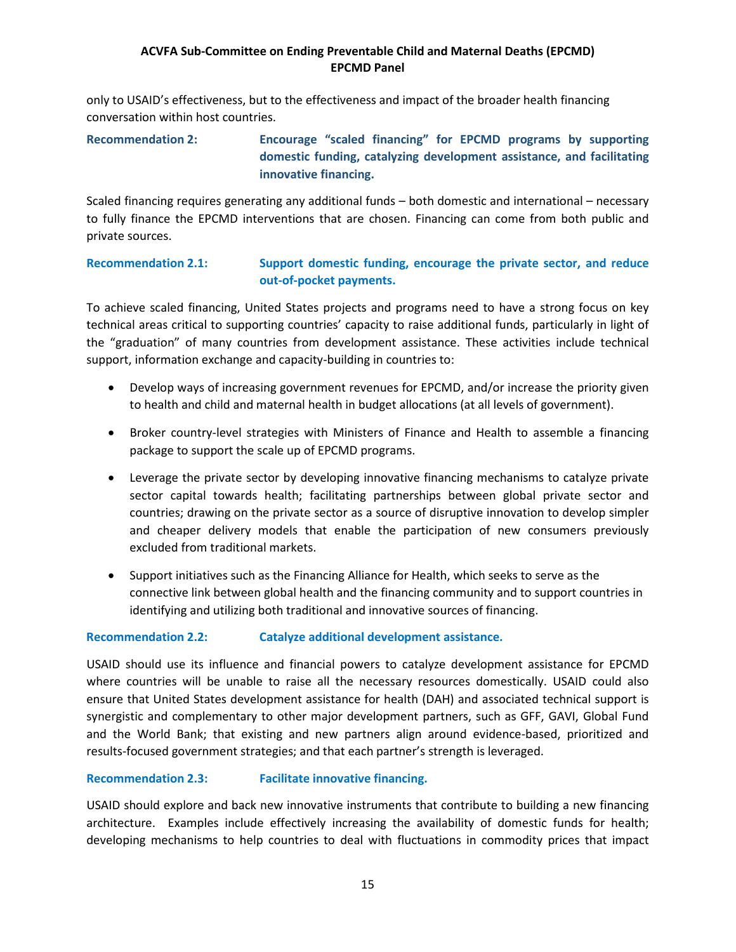only to USAID's effectiveness, but to the effectiveness and impact of the broader health financing conversation within host countries.

# **Recommendation 2: Encourage "scaled financing" for EPCMD programs by supporting domestic funding, catalyzing development assistance, and facilitating innovative financing.**

Scaled financing requires generating any additional funds – both domestic and international – necessary to fully finance the EPCMD interventions that are chosen. Financing can come from both public and private sources.

## **Recommendation 2.1: Support domestic funding, encourage the private sector, and reduce out-of-pocket payments.**

To achieve scaled financing, United States projects and programs need to have a strong focus on key technical areas critical to supporting countries' capacity to raise additional funds, particularly in light of the "graduation" of many countries from development assistance. These activities include technical support, information exchange and capacity-building in countries to:

- Develop ways of increasing government revenues for EPCMD, and/or increase the priority given to health and child and maternal health in budget allocations (at all levels of government).
- Broker country-level strategies with Ministers of Finance and Health to assemble a financing package to support the scale up of EPCMD programs.
- Leverage the private sector by developing innovative financing mechanisms to catalyze private sector capital towards health; facilitating partnerships between global private sector and countries; drawing on the private sector as a source of disruptive innovation to develop simpler and cheaper delivery models that enable the participation of new consumers previously excluded from traditional markets.
- Support initiatives such as the Financing Alliance for Health, which seeks to serve as the connective link between global health and the financing community and to support countries in identifying and utilizing both traditional and innovative sources of financing.

## **Recommendation 2.2: Catalyze additional development assistance.**

USAID should use its influence and financial powers to catalyze development assistance for EPCMD where countries will be unable to raise all the necessary resources domestically. USAID could also ensure that United States development assistance for health (DAH) and associated technical support is synergistic and complementary to other major development partners, such as GFF, GAVI, Global Fund and the World Bank; that existing and new partners align around evidence-based, prioritized and results-focused government strategies; and that each partner's strength is leveraged.

#### **Recommendation 2.3: Facilitate innovative financing.**

USAID should explore and back new innovative instruments that contribute to building a new financing architecture. Examples include effectively increasing the availability of domestic funds for health; developing mechanisms to help countries to deal with fluctuations in commodity prices that impact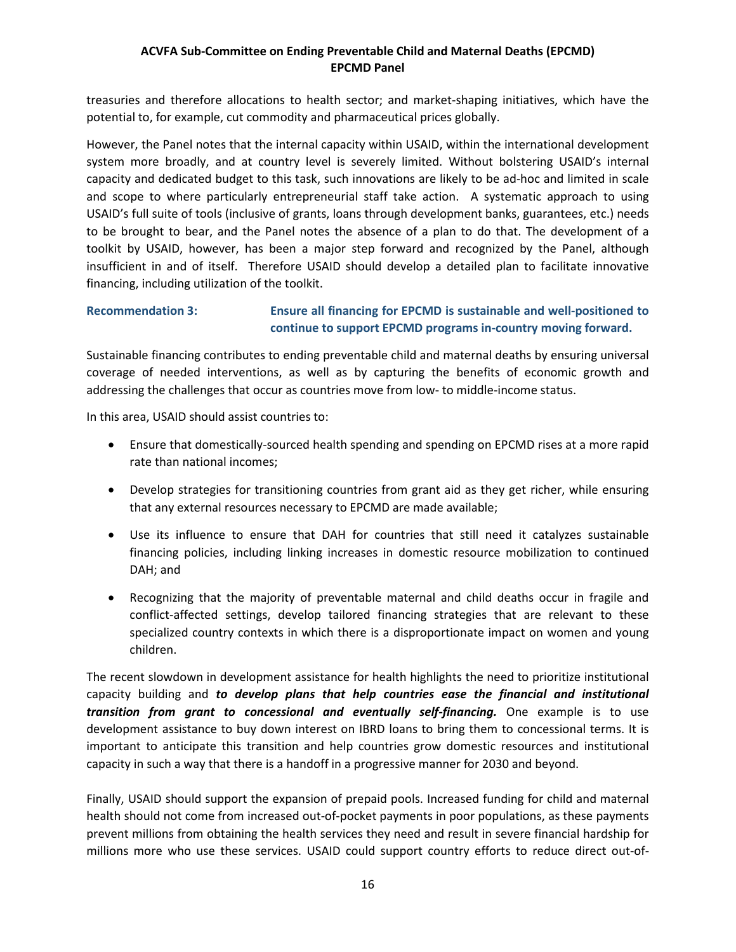treasuries and therefore allocations to health sector; and market-shaping initiatives, which have the potential to, for example, cut commodity and pharmaceutical prices globally.

However, the Panel notes that the internal capacity within USAID, within the international development system more broadly, and at country level is severely limited. Without bolstering USAID's internal capacity and dedicated budget to this task, such innovations are likely to be ad-hoc and limited in scale and scope to where particularly entrepreneurial staff take action. A systematic approach to using USAID's full suite of tools (inclusive of grants, loans through development banks, guarantees, etc.) needs to be brought to bear, and the Panel notes the absence of a plan to do that. The development of a toolkit by USAID, however, has been a major step forward and recognized by the Panel, although insufficient in and of itself. Therefore USAID should develop a detailed plan to facilitate innovative financing, including utilization of the toolkit.

# **Recommendation 3: Ensure all financing for EPCMD is sustainable and well-positioned to continue to support EPCMD programs in-country moving forward.**

Sustainable financing contributes to ending preventable child and maternal deaths by ensuring universal coverage of needed interventions, as well as by capturing the benefits of economic growth and addressing the challenges that occur as countries move from low- to middle-income status.

In this area, USAID should assist countries to:

- Ensure that domestically-sourced health spending and spending on EPCMD rises at a more rapid rate than national incomes;
- Develop strategies for transitioning countries from grant aid as they get richer, while ensuring that any external resources necessary to EPCMD are made available;
- Use its influence to ensure that DAH for countries that still need it catalyzes sustainable financing policies, including linking increases in domestic resource mobilization to continued DAH; and
- Recognizing that the majority of preventable maternal and child deaths occur in fragile and conflict-affected settings, develop tailored financing strategies that are relevant to these specialized country contexts in which there is a disproportionate impact on women and young children.

The recent slowdown in development assistance for health highlights the need to prioritize institutional capacity building and *to develop plans that help countries ease the financial and institutional transition from grant to concessional and eventually self-financing.* One example is to use development assistance to buy down interest on IBRD loans to bring them to concessional terms. It is important to anticipate this transition and help countries grow domestic resources and institutional capacity in such a way that there is a handoff in a progressive manner for 2030 and beyond.

Finally, USAID should support the expansion of prepaid pools. Increased funding for child and maternal health should not come from increased out-of-pocket payments in poor populations, as these payments prevent millions from obtaining the health services they need and result in severe financial hardship for millions more who use these services. USAID could support country efforts to reduce direct out-of-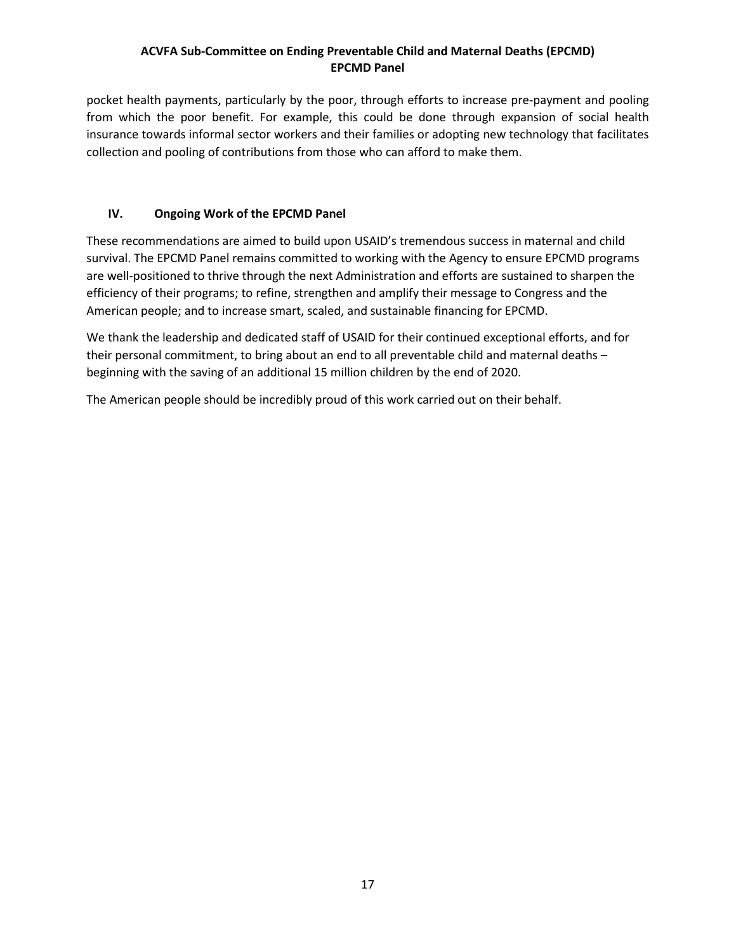pocket health payments, particularly by the poor, through efforts to increase pre-payment and pooling from which the poor benefit. For example, this could be done through expansion of social health insurance towards informal sector workers and their families or adopting new technology that facilitates collection and pooling of contributions from those who can afford to make them.

## **IV. Ongoing Work of the EPCMD Panel**

These recommendations are aimed to build upon USAID's tremendous success in maternal and child survival. The EPCMD Panel remains committed to working with the Agency to ensure EPCMD programs are well-positioned to thrive through the next Administration and efforts are sustained to sharpen the efficiency of their programs; to refine, strengthen and amplify their message to Congress and the American people; and to increase smart, scaled, and sustainable financing for EPCMD.

We thank the leadership and dedicated staff of USAID for their continued exceptional efforts, and for their personal commitment, to bring about an end to all preventable child and maternal deaths – beginning with the saving of an additional 15 million children by the end of 2020.

The American people should be incredibly proud of this work carried out on their behalf.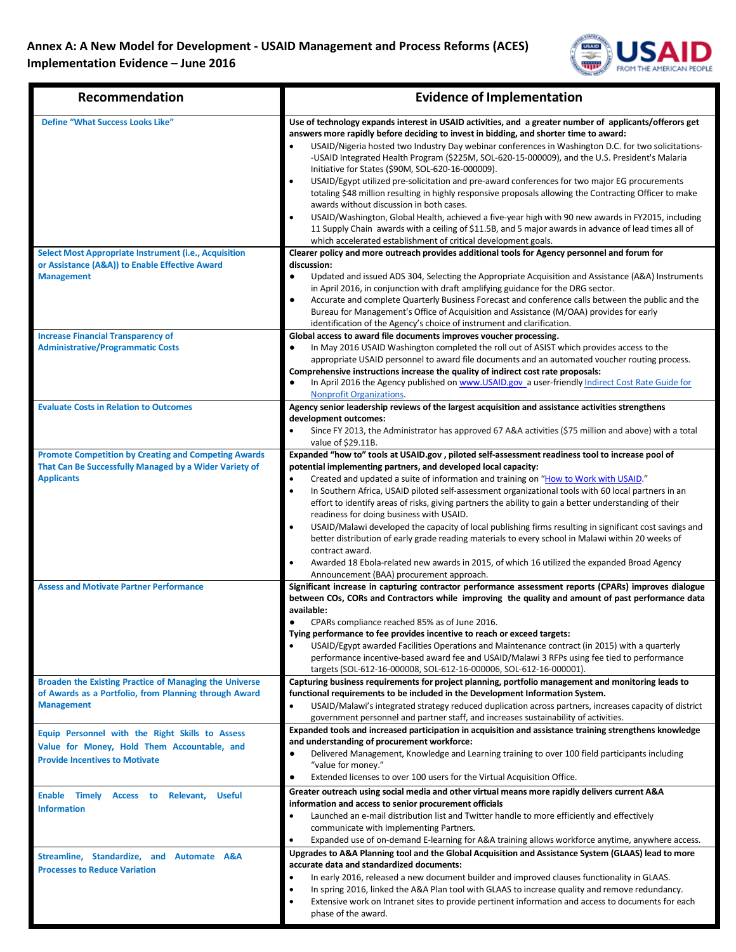

| Recommendation                                                                                                                             | <b>Evidence of Implementation</b>                                                                                                                                                                                                                                                                                                                                                                                                                                                                                                                                                                                                                                                                                                                                                                                                                                                                                                                                                                      |  |  |
|--------------------------------------------------------------------------------------------------------------------------------------------|--------------------------------------------------------------------------------------------------------------------------------------------------------------------------------------------------------------------------------------------------------------------------------------------------------------------------------------------------------------------------------------------------------------------------------------------------------------------------------------------------------------------------------------------------------------------------------------------------------------------------------------------------------------------------------------------------------------------------------------------------------------------------------------------------------------------------------------------------------------------------------------------------------------------------------------------------------------------------------------------------------|--|--|
| <b>Define "What Success Looks Like"</b>                                                                                                    | Use of technology expands interest in USAID activities, and a greater number of applicants/offerors get<br>answers more rapidly before deciding to invest in bidding, and shorter time to award:<br>USAID/Nigeria hosted two Industry Day webinar conferences in Washington D.C. for two solicitations-<br>-USAID Integrated Health Program (\$225M, SOL-620-15-000009), and the U.S. President's Malaria<br>Initiative for States (\$90M, SOL-620-16-000009).<br>USAID/Egypt utilized pre-solicitation and pre-award conferences for two major EG procurements<br>totaling \$48 million resulting in highly responsive proposals allowing the Contracting Officer to make<br>awards without discussion in both cases.<br>USAID/Washington, Global Health, achieved a five-year high with 90 new awards in FY2015, including<br>11 Supply Chain awards with a ceiling of \$11.5B, and 5 major awards in advance of lead times all of<br>which accelerated establishment of critical development goals. |  |  |
| <b>Select Most Appropriate Instrument (i.e., Acquisition</b><br>or Assistance (A&A)) to Enable Effective Award<br><b>Management</b>        | Clearer policy and more outreach provides additional tools for Agency personnel and forum for<br>discussion:<br>Updated and issued ADS 304, Selecting the Appropriate Acquisition and Assistance (A&A) Instruments<br>in April 2016, in conjunction with draft amplifying guidance for the DRG sector.<br>Accurate and complete Quarterly Business Forecast and conference calls between the public and the<br>Bureau for Management's Office of Acquisition and Assistance (M/OAA) provides for early<br>identification of the Agency's choice of instrument and clarification.                                                                                                                                                                                                                                                                                                                                                                                                                       |  |  |
| <b>Increase Financial Transparency of</b><br><b>Administrative/Programmatic Costs</b>                                                      | Global access to award file documents improves voucher processing.<br>In May 2016 USAID Washington completed the roll out of ASIST which provides access to the<br>appropriate USAID personnel to award file documents and an automated voucher routing process.<br>Comprehensive instructions increase the quality of indirect cost rate proposals:<br>In April 2016 the Agency published on www.USAID.gov a user-friendly Indirect Cost Rate Guide for<br><b>Nonprofit Organizations.</b>                                                                                                                                                                                                                                                                                                                                                                                                                                                                                                            |  |  |
| <b>Evaluate Costs in Relation to Outcomes</b>                                                                                              | Agency senior leadership reviews of the largest acquisition and assistance activities strengthens<br>development outcomes:<br>Since FY 2013, the Administrator has approved 67 A&A activities (\$75 million and above) with a total<br>value of \$29.11B.                                                                                                                                                                                                                                                                                                                                                                                                                                                                                                                                                                                                                                                                                                                                              |  |  |
| <b>Promote Competition by Creating and Competing Awards</b><br>That Can Be Successfully Managed by a Wider Variety of<br><b>Applicants</b> | Expanded "how to" tools at USAID.gov, piloted self-assessment readiness tool to increase pool of<br>potential implementing partners, and developed local capacity:<br>Created and updated a suite of information and training on "How to Work with USAID."<br>In Southern Africa, USAID piloted self-assessment organizational tools with 60 local partners in an<br>effort to identify areas of risks, giving partners the ability to gain a better understanding of their<br>readiness for doing business with USAID.<br>USAID/Malawi developed the capacity of local publishing firms resulting in significant cost savings and<br>better distribution of early grade reading materials to every school in Malawi within 20 weeks of<br>contract award.<br>Awarded 18 Ebola-related new awards in 2015, of which 16 utilized the expanded Broad Agency<br>Announcement (BAA) procurement approach.                                                                                                  |  |  |
| <b>Assess and Motivate Partner Performance</b>                                                                                             | Significant increase in capturing contractor performance assessment reports (CPARs) improves dialogue<br>between COs, CORs and Contractors while improving the quality and amount of past performance data<br>available:<br>CPARs compliance reached 85% as of June 2016.<br>Tying performance to fee provides incentive to reach or exceed targets:<br>USAID/Egypt awarded Facilities Operations and Maintenance contract (in 2015) with a quarterly<br>performance incentive-based award fee and USAID/Malawi 3 RFPs using fee tied to performance<br>targets (SOL-612-16-000008, SOL-612-16-000006, SOL-612-16-000001).                                                                                                                                                                                                                                                                                                                                                                             |  |  |
| Broaden the Existing Practice of Managing the Universe<br>of Awards as a Portfolio, from Planning through Award<br><b>Management</b>       | Capturing business requirements for project planning, portfolio management and monitoring leads to<br>functional requirements to be included in the Development Information System.<br>USAID/Malawi's integrated strategy reduced duplication across partners, increases capacity of district<br>government personnel and partner staff, and increases sustainability of activities.                                                                                                                                                                                                                                                                                                                                                                                                                                                                                                                                                                                                                   |  |  |
| Equip Personnel with the Right Skills to Assess<br>Value for Money, Hold Them Accountable, and<br><b>Provide Incentives to Motivate</b>    | Expanded tools and increased participation in acquisition and assistance training strengthens knowledge<br>and understanding of procurement workforce:<br>Delivered Management, Knowledge and Learning training to over 100 field participants including<br>"value for money."<br>Extended licenses to over 100 users for the Virtual Acquisition Office.<br>٠                                                                                                                                                                                                                                                                                                                                                                                                                                                                                                                                                                                                                                         |  |  |
| Enable Timely Access to Relevant, Useful<br><b>Information</b>                                                                             | Greater outreach using social media and other virtual means more rapidly delivers current A&A<br>information and access to senior procurement officials<br>Launched an e-mail distribution list and Twitter handle to more efficiently and effectively<br>communicate with Implementing Partners.<br>Expanded use of on-demand E-learning for A&A training allows workforce anytime, anywhere access.<br>$\bullet$                                                                                                                                                                                                                                                                                                                                                                                                                                                                                                                                                                                     |  |  |
| Streamline, Standardize, and Automate A&A<br><b>Processes to Reduce Variation</b>                                                          | Upgrades to A&A Planning tool and the Global Acquisition and Assistance System (GLAAS) lead to more<br>accurate data and standardized documents:<br>In early 2016, released a new document builder and improved clauses functionality in GLAAS.<br>In spring 2016, linked the A&A Plan tool with GLAAS to increase quality and remove redundancy.<br>Extensive work on Intranet sites to provide pertinent information and access to documents for each<br>phase of the award.                                                                                                                                                                                                                                                                                                                                                                                                                                                                                                                         |  |  |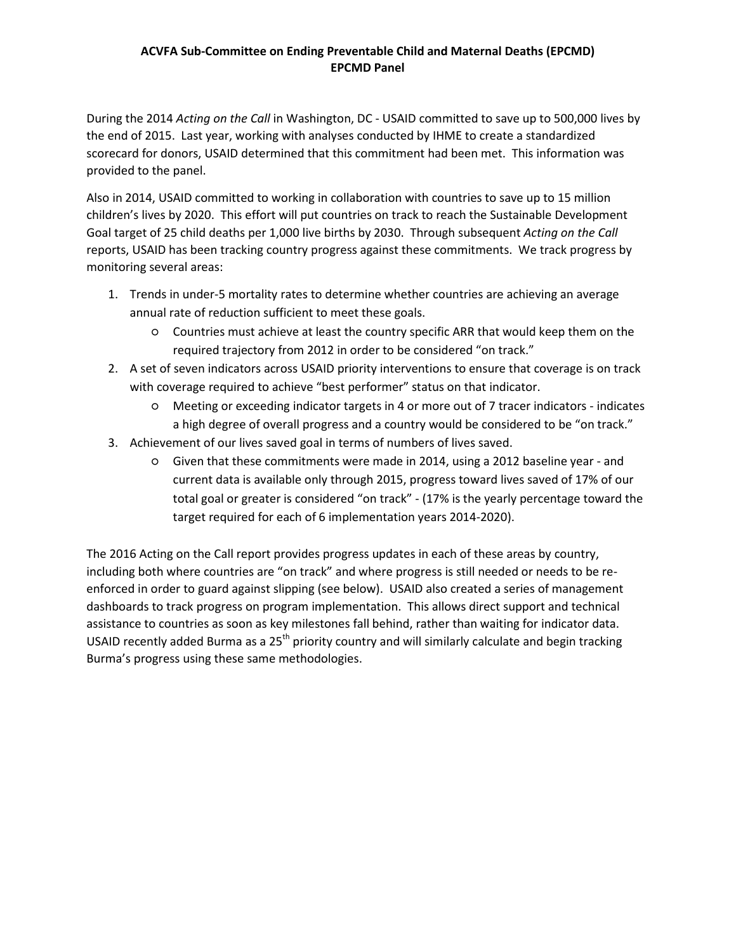During the 2014 *Acting on the Call* in Washington, DC - USAID committed to save up to 500,000 lives by the end of 2015. Last year, working with analyses conducted by IHME to create a standardized scorecard for donors, USAID determined that this commitment had been met. This information was provided to the panel.

Also in 2014, USAID committed to working in collaboration with countries to save up to 15 million children's lives by 2020. This effort will put countries on track to reach the Sustainable Development Goal target of 25 child deaths per 1,000 live births by 2030. Through subsequent *Acting on the Call* reports, USAID has been tracking country progress against these commitments. We track progress by monitoring several areas:

- 1. Trends in under-5 mortality rates to determine whether countries are achieving an average annual rate of reduction sufficient to meet these goals.
	- Countries must achieve at least the country specific ARR that would keep them on the required trajectory from 2012 in order to be considered "on track."
- 2. A set of seven indicators across USAID priority interventions to ensure that coverage is on track with coverage required to achieve "best performer" status on that indicator.
	- Meeting or exceeding indicator targets in 4 or more out of 7 tracer indicators indicates a high degree of overall progress and a country would be considered to be "on track."
- 3. Achievement of our lives saved goal in terms of numbers of lives saved.
	- Given that these commitments were made in 2014, using a 2012 baseline year and current data is available only through 2015, progress toward lives saved of 17% of our total goal or greater is considered "on track" - (17% is the yearly percentage toward the target required for each of 6 implementation years 2014-2020).

The 2016 Acting on the Call report provides progress updates in each of these areas by country, including both where countries are "on track" and where progress is still needed or needs to be reenforced in order to guard against slipping (see below). USAID also created a series of management dashboards to track progress on program implementation. This allows direct support and technical assistance to countries as soon as key milestones fall behind, rather than waiting for indicator data. USAID recently added Burma as a  $25<sup>th</sup>$  priority country and will similarly calculate and begin tracking Burma's progress using these same methodologies.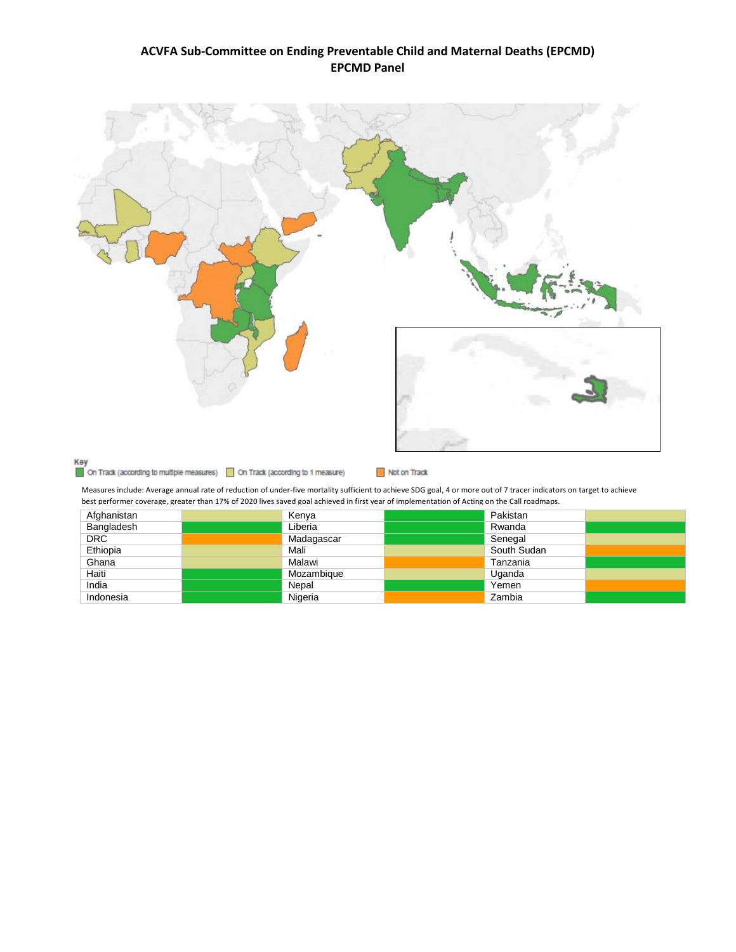

Measures include: Average annual rate of reduction of under-five mortality sufficient to achieve SDG goal, 4 or more out of 7 tracer indicators on target to achieve

best performer coverage, greater than 17% of 2020 lives saved goal achieved in first year of implementation of Acting on the Call roadmaps.

| Afghanistan | Kenya      | Pakistan    |  |
|-------------|------------|-------------|--|
| Bangladesh  | Liberia    | Rwanda      |  |
| <b>DRC</b>  | Madagascar | Senegal     |  |
| Ethiopia    | Mali       | South Sudan |  |
| Ghana       | Malawi     | Tanzania    |  |
| Haiti       | Mozambique | Uganda      |  |
| India       | Nepal      | Yemen       |  |
| Indonesia   | Nigeria    | Zambia      |  |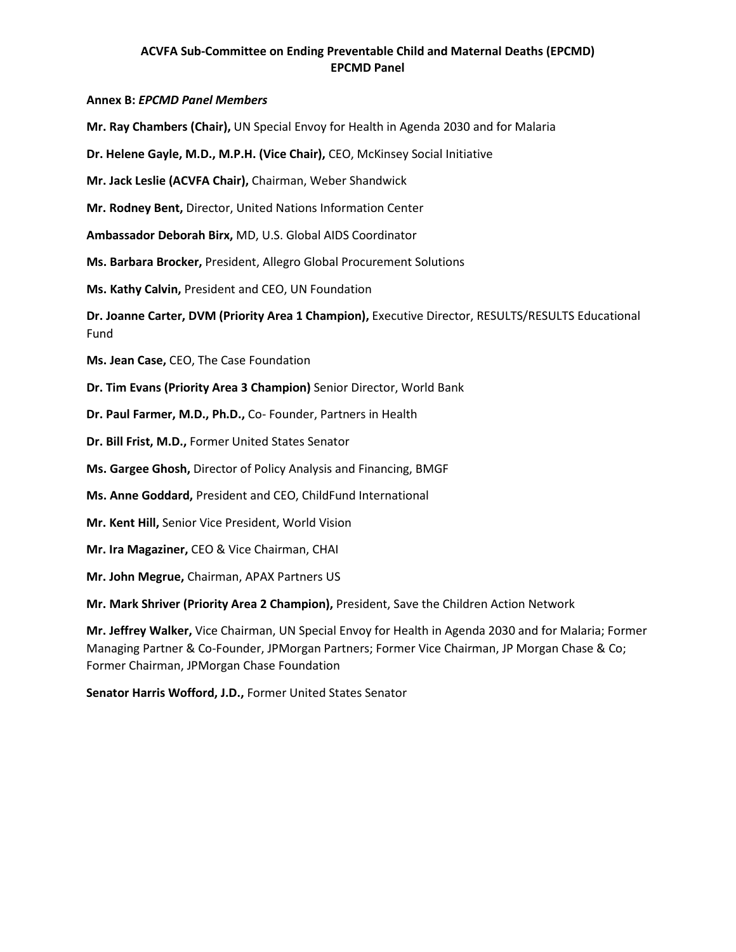#### **Annex B:** *EPCMD Panel Members*

- **Mr. Ray Chambers (Chair),** UN Special Envoy for Health in Agenda 2030 and for Malaria
- **Dr. Helene Gayle, M.D., M.P.H. (Vice Chair),** CEO, McKinsey Social Initiative
- **Mr. Jack Leslie (ACVFA Chair),** Chairman, Weber Shandwick
- **Mr. Rodney Bent,** Director, United Nations Information Center
- **Ambassador Deborah Birx,** MD, U.S. Global AIDS Coordinator
- **Ms. Barbara Brocker,** President, Allegro Global Procurement Solutions
- **Ms. Kathy Calvin,** President and CEO, UN Foundation

**Dr. Joanne Carter, DVM (Priority Area 1 Champion),** Executive Director, RESULTS/RESULTS Educational Fund

- **Ms. Jean Case,** CEO, The Case Foundation
- **Dr. Tim Evans (Priority Area 3 Champion)** Senior Director, World Bank
- **Dr. Paul Farmer, M.D., Ph.D.,** Co- Founder, Partners in Health
- **Dr. Bill Frist, M.D.,** Former United States Senator
- **Ms. Gargee Ghosh,** Director of Policy Analysis and Financing, BMGF
- **Ms. Anne Goddard,** President and CEO, ChildFund International
- **Mr. Kent Hill,** Senior Vice President, World Vision
- **Mr. Ira Magaziner,** CEO & Vice Chairman, CHAI
- **Mr. John Megrue,** Chairman, APAX Partners US

**Mr. Mark Shriver (Priority Area 2 Champion),** President, Save the Children Action Network

**Mr. Jeffrey Walker,** Vice Chairman, UN Special Envoy for Health in Agenda 2030 and for Malaria; Former Managing Partner & Co-Founder, JPMorgan Partners; Former Vice Chairman, JP Morgan Chase & Co; Former Chairman, JPMorgan Chase Foundation

**Senator Harris Wofford, J.D.,** Former United States Senator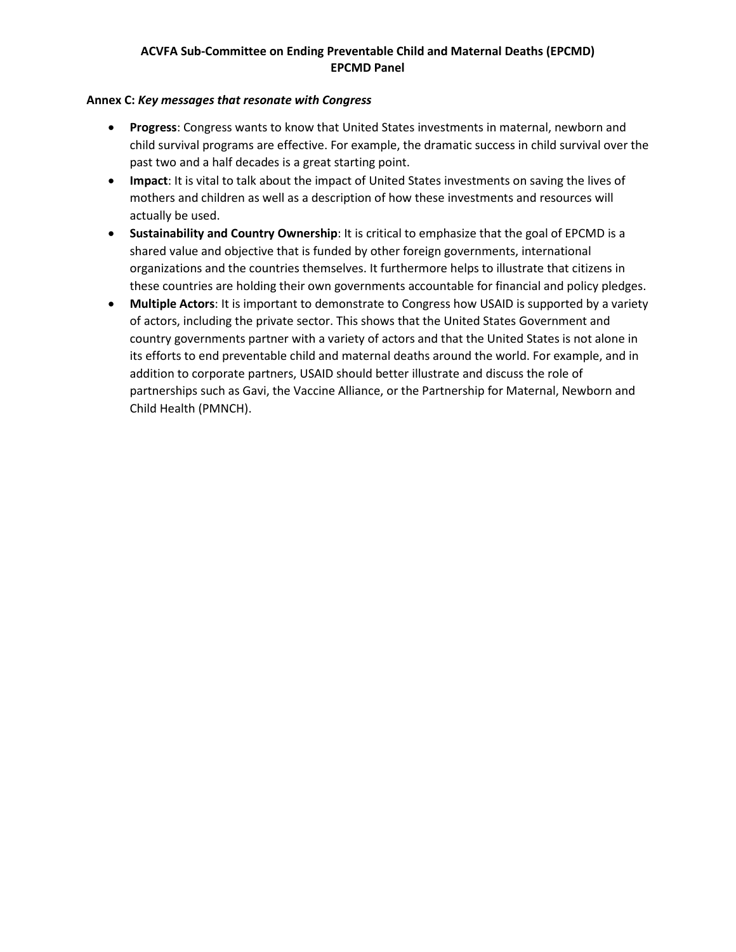#### **Annex C:** *Key messages that resonate with Congress*

- **Progress**: Congress wants to know that United States investments in maternal, newborn and child survival programs are effective. For example, the dramatic success in child survival over the past two and a half decades is a great starting point.
- **Impact**: It is vital to talk about the impact of United States investments on saving the lives of mothers and children as well as a description of how these investments and resources will actually be used.
- **Sustainability and Country Ownership**: It is critical to emphasize that the goal of EPCMD is a shared value and objective that is funded by other foreign governments, international organizations and the countries themselves. It furthermore helps to illustrate that citizens in these countries are holding their own governments accountable for financial and policy pledges.
- **Multiple Actors**: It is important to demonstrate to Congress how USAID is supported by a variety of actors, including the private sector. This shows that the United States Government and country governments partner with a variety of actors and that the United States is not alone in its efforts to end preventable child and maternal deaths around the world. For example, and in addition to corporate partners, USAID should better illustrate and discuss the role of partnerships such as Gavi, the Vaccine Alliance, or the Partnership for Maternal, Newborn and Child Health (PMNCH).